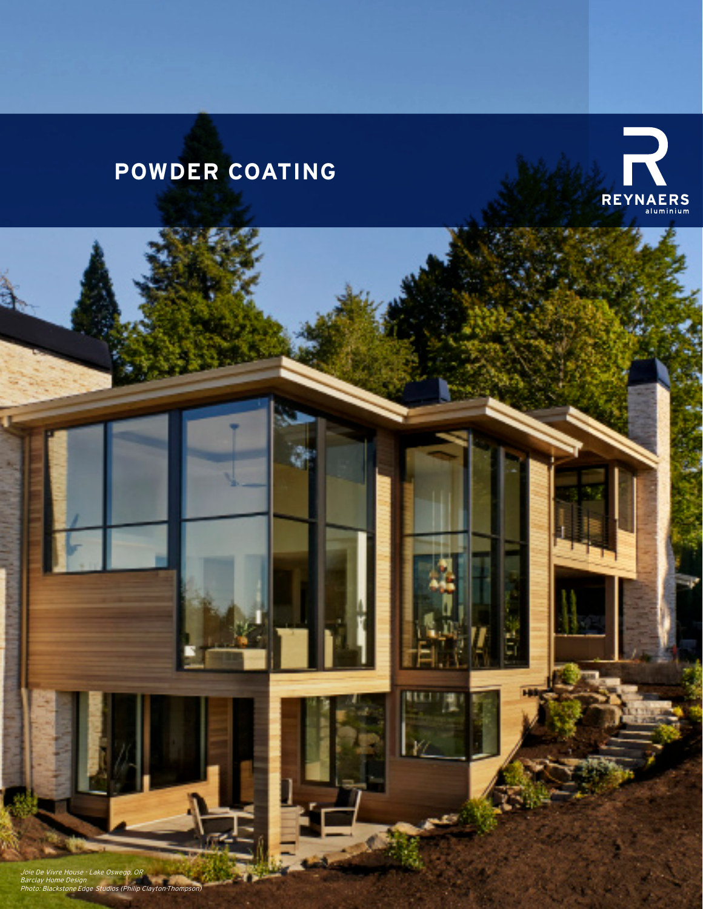# **POWDER COATING**



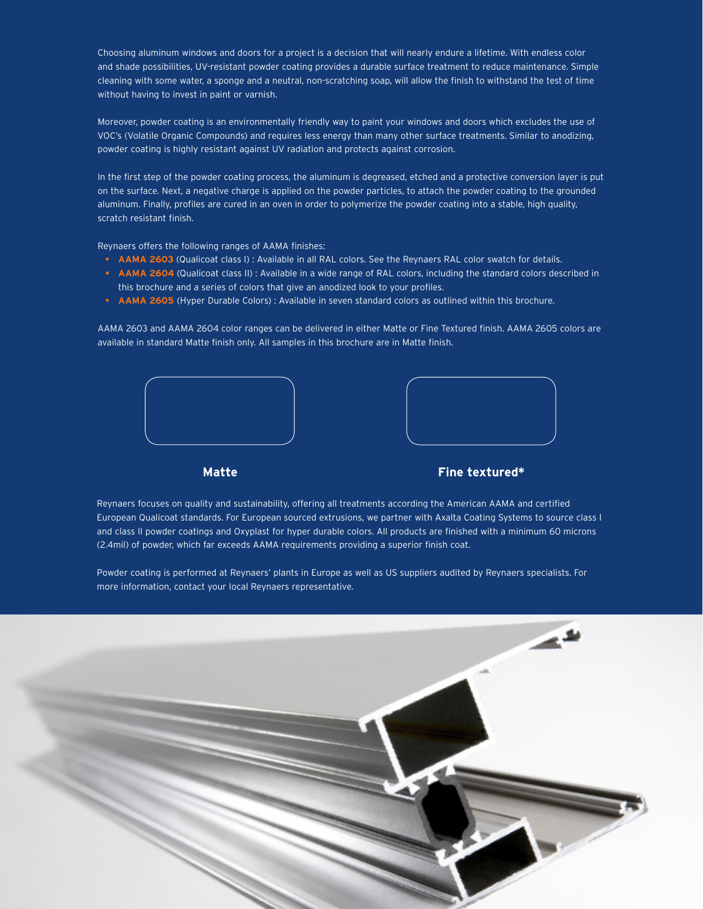Choosing aluminum windows and doors for a project is a decision that will nearly endure a lifetime. With endless color and shade possibilities, UV-resistant powder coating provides a durable surface treatment to reduce maintenance. Simple cleaning with some water, a sponge and a neutral, non-scratching soap, will allow the finish to withstand the test of time without having to invest in paint or varnish.

Moreover, powder coating is an environmentally friendly way to paint your windows and doors which excludes the use of VOC's (Volatile Organic Compounds) and requires less energy than many other surface treatments. Similar to anodizing, powder coating is highly resistant against UV radiation and protects against corrosion.

In the first step of the powder coating process, the aluminum is degreased, etched and a protective conversion layer is put on the surface. Next, a negative charge is applied on the powder particles, to attach the powder coating to the grounded aluminum. Finally, profiles are cured in an oven in order to polymerize the powder coating into a stable, high quality, scratch resistant finish.

Reynaers offers the following ranges of AAMA finishes:

- **AAMA 2603** (Qualicoat class I) : Available in all RAL colors. See the Reynaers RAL color swatch for details.
- **AAMA 2604** (Qualicoat class II) : Available in a wide range of RAL colors, including the standard colors described in this brochure and a series of colors that give an anodized look to your profiles.
- **AAMA 2605** (Hyper Durable Colors) : Available in seven standard colors as outlined within this brochure.

AAMA 2603 and AAMA 2604 color ranges can be delivered in either Matte or Fine Textured finish. AAMA 2605 colors are available in standard Matte finish only. All samples in this brochure are in Matte finish.





### **Matte Fine textured\***

Reynaers focuses on quality and sustainability, offering all treatments according the American AAMA and certified European Qualicoat standards. For European sourced extrusions, we partner with Axalta Coating Systems to source class I and class II powder coatings and Oxyplast for hyper durable colors. All products are finished with a minimum 60 microns (2.4mil) of powder, which far exceeds AAMA requirements providing a superior finish coat.

Powder coating is performed at Reynaers' plants in Europe as well as US suppliers audited by Reynaers specialists. For more information, contact your local Reynaers representative.

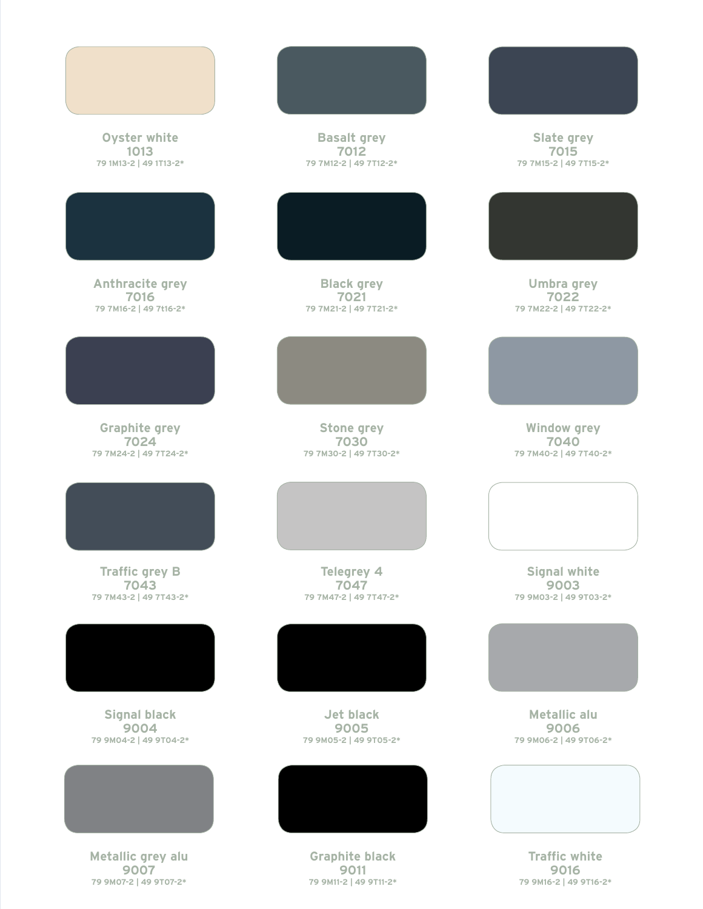| Oyster white<br>1013<br>79 1M13-2   49 1T13-2*          | <b>Basalt grey</b><br>7012<br>79 7M12-2   49 7T12-2*    | Slate grey<br>7015<br>79 7M15-2   49 7T15-2*           |
|---------------------------------------------------------|---------------------------------------------------------|--------------------------------------------------------|
|                                                         |                                                         |                                                        |
| Anthracite grey<br>7016<br>79 7M16-2   49 7t16-2*       | <b>Black grey</b><br>7021<br>79 7M21-2   49 7T21-2*     | Umbra grey<br>7022<br>79 7M22-2   49 7T22-2*           |
|                                                         |                                                         |                                                        |
| <b>Graphite grey</b><br>7024<br>79 7M24-2   49 7T24-2*  | <b>Stone grey</b><br>7030<br>79 7M30-2   49 7T30-2*     | <b>Window grey</b><br>7040<br>79 7M40-2   49 7T40-2*   |
|                                                         |                                                         |                                                        |
| <b>Traffic grey B</b><br>7043<br>79 7M43-2   49 7T43-2* | Telegrey 4<br>7047<br>79 7M47-2   49 7T47-2*            | <b>Signal white</b><br>9003<br>79 9M03-2   49 9T03-2*  |
|                                                         |                                                         |                                                        |
| <b>Signal black</b><br>9004<br>79 9M04-2   49 9T04-2*   | Jet black<br>9005<br>79 9M05-2   49 9T05-2*             | Metallic alu<br>9006<br>79 9M06-2   49 9T06-2*         |
|                                                         |                                                         |                                                        |
| Metallic grey alu<br>9007<br>79 9M07-2   49 9T07-2*     | <b>Graphite black</b><br>9011<br>79 9M11-2   49 9T11-2* | <b>Traffic white</b><br>9016<br>79 9M16-2   49 9T16-2* |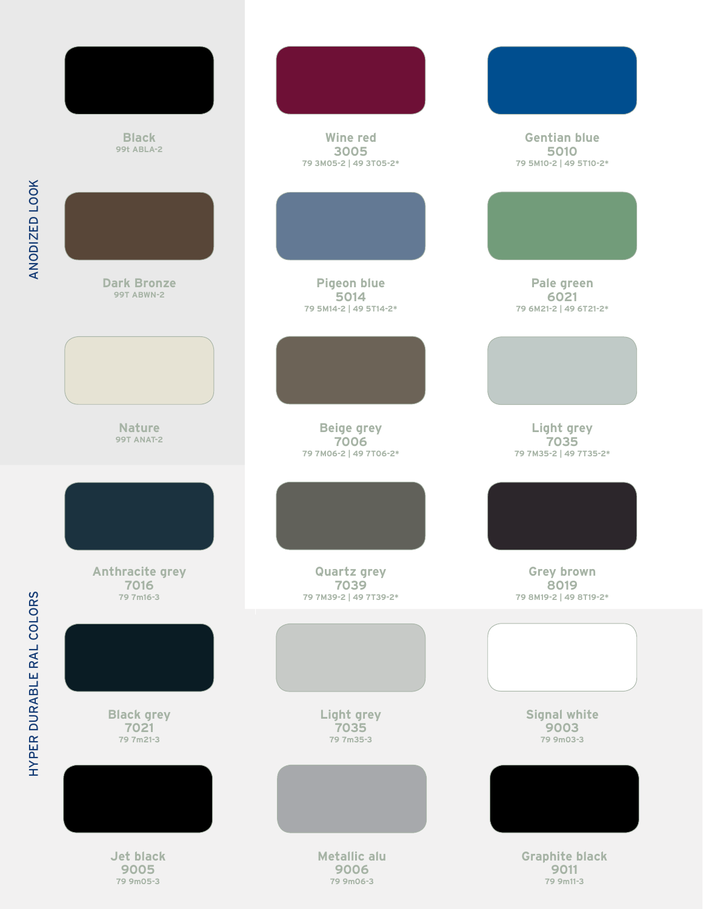| <b>Black</b><br><b>99t ABLA-2</b>       | <b>Wine red</b><br>3005<br>79 3M05-2   49 3T05-2*    | <b>Gentian blue</b><br>5010<br>79 5M10-2   49 5T10-2* |
|-----------------------------------------|------------------------------------------------------|-------------------------------------------------------|
|                                         |                                                      |                                                       |
| <b>Dark Bronze</b><br><b>99T ABWN-2</b> | Pigeon blue<br>5014<br>79 5M14-2   49 5T14-2*        | Pale green<br>6021<br>79 6M21-2   49 6T21-2*          |
|                                         |                                                      |                                                       |
| <b>Nature</b><br><b>99T ANAT-2</b>      | Beige grey<br>7006<br>79 7M06-2   49 7T06-2*         | Light grey<br>7035<br>79 7M35-2   49 7T35-2*          |
|                                         |                                                      |                                                       |
| Anthracite grey<br>7016<br>79 7m16-3    | <b>Quartz grey</b><br>7039<br>79 7M39-2   49 7T39-2* | Grey brown<br>8019<br>79 8M19-2   49 8T19-2*          |
|                                         |                                                      |                                                       |
| <b>Black grey</b><br>7021<br>79 7m21-3  | Light grey<br>7035<br>79 7m35-3                      | <b>Signal white</b><br>9003<br>79 9m03-3              |
|                                         |                                                      |                                                       |
| Jet black<br>9005<br>79 9m05-3          | Metallic alu<br>9006<br>79 9m06-3                    | <b>Graphite black</b><br>9011<br>79 9m11-3            |

ANODIZED LOOK ANODIZED LOOK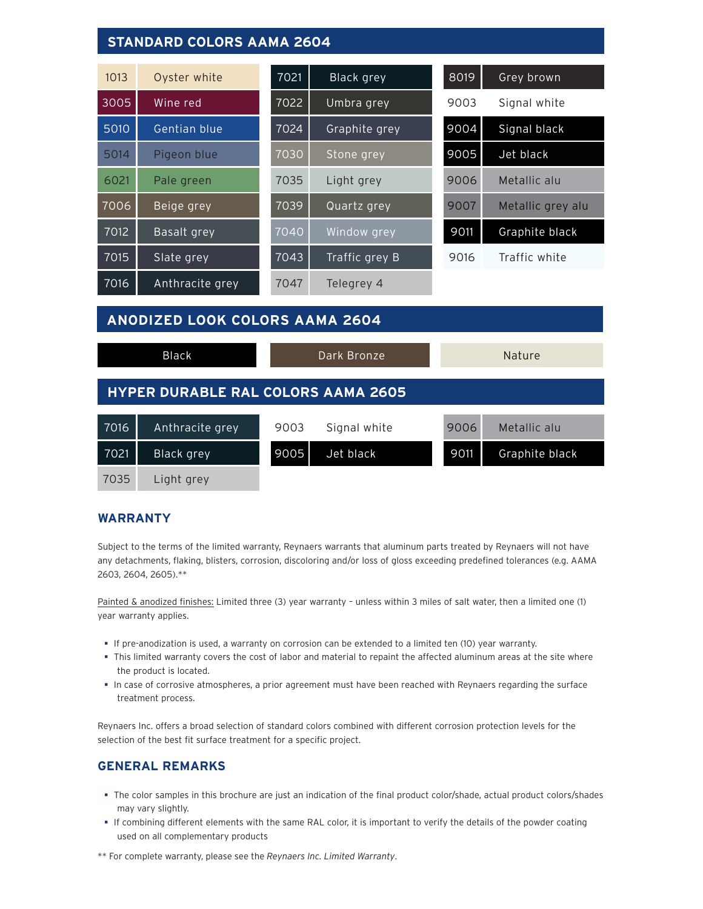# **STANDARD COLORS AAMA 2604**

| 1013 | Oyster white    | 7021              | Black grey     | 8019 | Grey brown        |
|------|-----------------|-------------------|----------------|------|-------------------|
| 3005 | Wine red        | 7022              | Umbra grey     | 9003 | Signal white      |
| 5010 | Gentian blue    | $70\overline{24}$ | Graphite grey  | 9004 | Signal black      |
| 5014 | Pigeon blue     | 7030              | Stone grey     | 9005 | Jet black         |
| 6021 | Pale green      | 7035              | Light grey     | 9006 | Metallic alu      |
| 7006 | Beige grey      | 7039              | Quartz grey    | 9007 | Metallic grey alu |
| 7012 | Basalt grey     | 7040              | Window grey    | 9011 | Graphite black    |
| 7015 | Slate grey      | 7043              | Traffic grey B | 9016 | Traffic white     |
| 7016 | Anthracite grey | 7047              | Telegrey 4     |      |                   |

# **ANODIZED LOOK COLORS AAMA 2604**

|                                           | Black           |      | Dark Bronze  |      | Nature         |
|-------------------------------------------|-----------------|------|--------------|------|----------------|
| <b>HYPER DURABLE RAL COLORS AAMA 2605</b> |                 |      |              |      |                |
| 7016                                      | Anthracite grey | 9003 | Signal white | 9006 | Metallic alu   |
| 7021                                      | Black grey      | 9005 | Jet black    | 9011 | Graphite black |
| 7035                                      | Light grey      |      |              |      |                |

## **WARRANTY**

Subject to the terms of the limited warranty, Reynaers warrants that aluminum parts treated by Reynaers will not have any detachments, flaking, blisters, corrosion, discoloring and/or loss of gloss exceeding predefined tolerances (e.g. AAMA 2603, 2604, 2605).\*\*

Painted & anodized finishes: Limited three (3) year warranty - unless within 3 miles of salt water, then a limited one (1) year warranty applies.

- If pre-anodization is used, a warranty on corrosion can be extended to a limited ten (10) year warranty.
- This limited warranty covers the cost of labor and material to repaint the affected aluminum areas at the site where the product is located.
- In case of corrosive atmospheres, a prior agreement must have been reached with Reynaers regarding the surface treatment process.

Reynaers Inc. offers a broad selection of standard colors combined with different corrosion protection levels for the selection of the best fit surface treatment for a specific project.

## **GENERAL REMARKS**

- The color samples in this brochure are just an indication of the final product color/shade, actual product colors/shades may vary slightly.
- If combining different elements with the same RAL color, it is important to verify the details of the powder coating used on all complementary products
- \*\* For complete warranty, please see the *Reynaers Inc. Limited Warranty*.